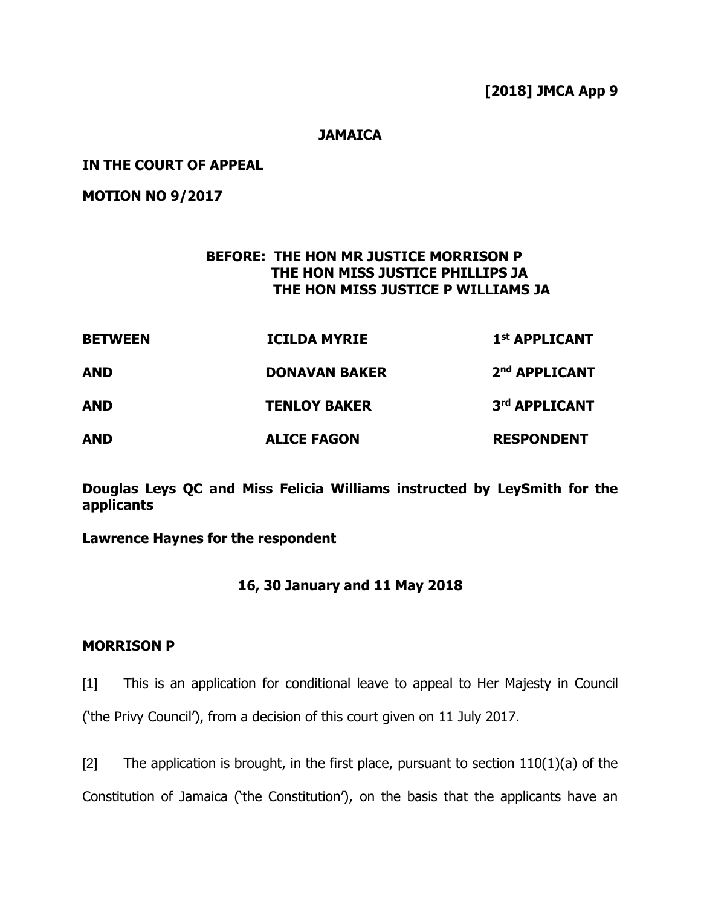**[2018] JMCA App 9**

### **JAMAICA**

#### **IN THE COURT OF APPEAL**

**MOTION NO 9/2017**

## **BEFORE: THE HON MR JUSTICE MORRISON P THE HON MISS JUSTICE PHILLIPS JA THE HON MISS JUSTICE P WILLIAMS JA**

| <b>BETWEEN</b><br><b>AND</b><br><b>AND</b> | <b>ICILDA MYRIE</b>                         | 1 <sup>st</sup> APPLICANT                  |
|--------------------------------------------|---------------------------------------------|--------------------------------------------|
|                                            | <b>DONAVAN BAKER</b><br><b>TENLOY BAKER</b> | 2 <sup>nd</sup> APPLICANT<br>3rd APPLICANT |
|                                            |                                             |                                            |

**Douglas Leys QC and Miss Felicia Williams instructed by LeySmith for the applicants**

**Lawrence Haynes for the respondent**

## **16, 30 January and 11 May 2018**

#### **MORRISON P**

[1] This is an application for conditional leave to appeal to Her Majesty in Council ('the Privy Council'), from a decision of this court given on 11 July 2017.

[2] The application is brought, in the first place, pursuant to section  $110(1)(a)$  of the Constitution of Jamaica ('the Constitution'), on the basis that the applicants have an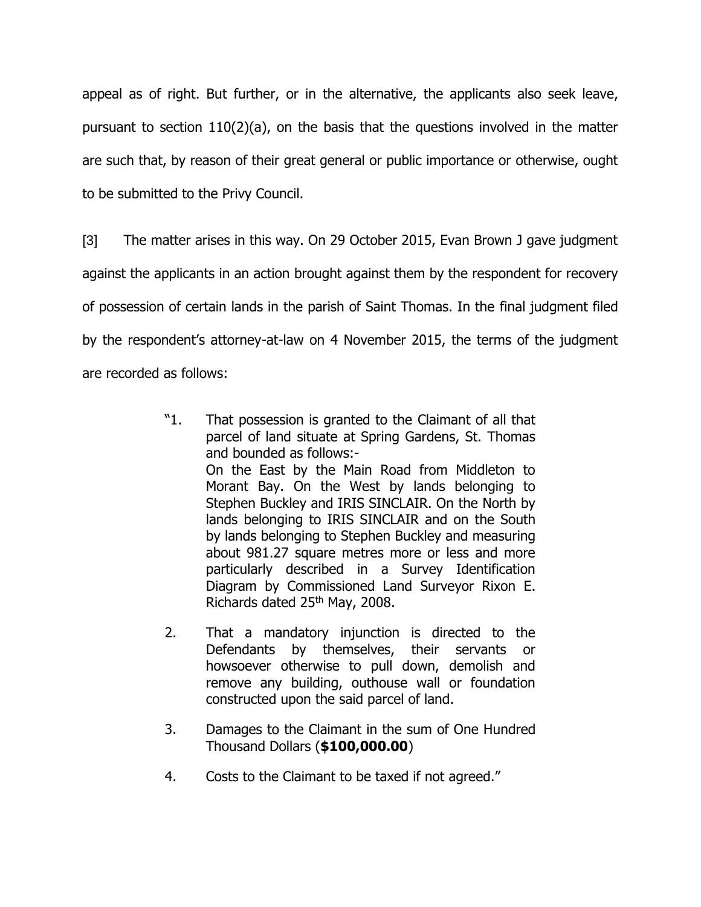appeal as of right. But further, or in the alternative, the applicants also seek leave, pursuant to section 110(2)(a), on the basis that the questions involved in the matter are such that, by reason of their great general or public importance or otherwise, ought to be submitted to the Privy Council.

[3] The matter arises in this way. On 29 October 2015, Evan Brown J gave judgment against the applicants in an action brought against them by the respondent for recovery of possession of certain lands in the parish of Saint Thomas. In the final judgment filed by the respondent's attorney-at-law on 4 November 2015, the terms of the judgment are recorded as follows:

- "1. That possession is granted to the Claimant of all that parcel of land situate at Spring Gardens, St. Thomas and bounded as follows:- On the East by the Main Road from Middleton to Morant Bay. On the West by lands belonging to Stephen Buckley and IRIS SINCLAIR. On the North by lands belonging to IRIS SINCLAIR and on the South by lands belonging to Stephen Buckley and measuring about 981.27 square metres more or less and more particularly described in a Survey Identification Diagram by Commissioned Land Surveyor Rixon E. Richards dated 25<sup>th</sup> May, 2008.
- 2. That a mandatory injunction is directed to the Defendants by themselves, their servants or howsoever otherwise to pull down, demolish and remove any building, outhouse wall or foundation constructed upon the said parcel of land.
- 3. Damages to the Claimant in the sum of One Hundred Thousand Dollars (**\$100,000.00**)
- 4. Costs to the Claimant to be taxed if not agreed."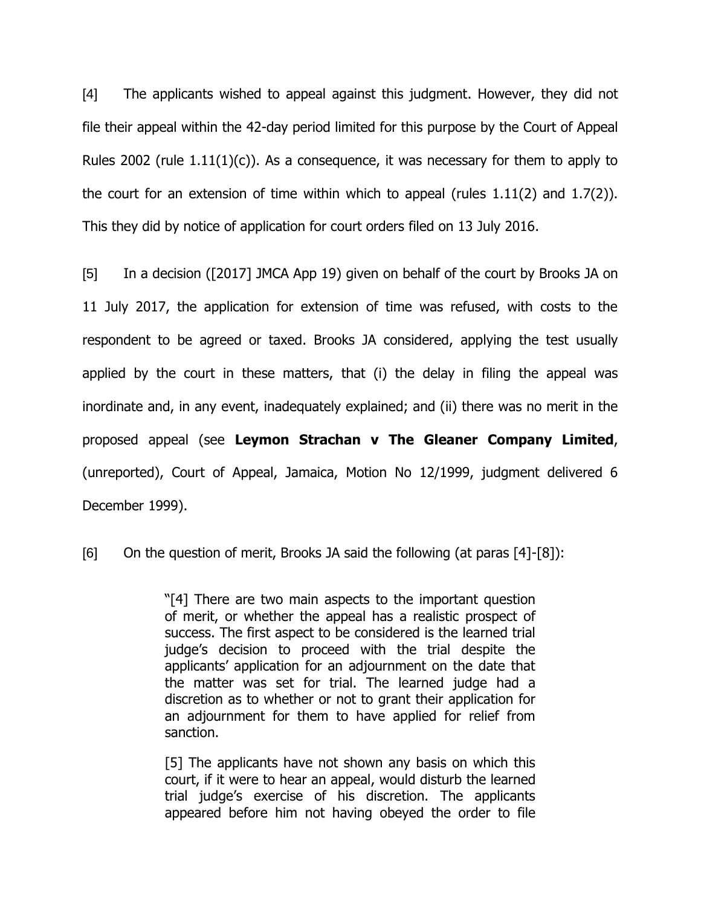[4] The applicants wished to appeal against this judgment. However, they did not file their appeal within the 42-day period limited for this purpose by the Court of Appeal Rules 2002 (rule  $1.11(1)(c)$ ). As a consequence, it was necessary for them to apply to the court for an extension of time within which to appeal (rules 1.11(2) and 1.7(2)). This they did by notice of application for court orders filed on 13 July 2016.

[5] In a decision ([2017] JMCA App 19) given on behalf of the court by Brooks JA on 11 July 2017, the application for extension of time was refused, with costs to the respondent to be agreed or taxed. Brooks JA considered, applying the test usually applied by the court in these matters, that (i) the delay in filing the appeal was inordinate and, in any event, inadequately explained; and (ii) there was no merit in the proposed appeal (see **Leymon Strachan v The Gleaner Company Limited**, (unreported), Court of Appeal, Jamaica, Motion No 12/1999, judgment delivered 6 December 1999).

[6] On the question of merit, Brooks JA said the following (at paras [4]-[8]):

"[4] There are two main aspects to the important question of merit, or whether the appeal has a realistic prospect of success. The first aspect to be considered is the learned trial judge's decision to proceed with the trial despite the applicants' application for an adjournment on the date that the matter was set for trial. The learned judge had a discretion as to whether or not to grant their application for an adjournment for them to have applied for relief from sanction.

[5] The applicants have not shown any basis on which this court, if it were to hear an appeal, would disturb the learned trial judge's exercise of his discretion. The applicants appeared before him not having obeyed the order to file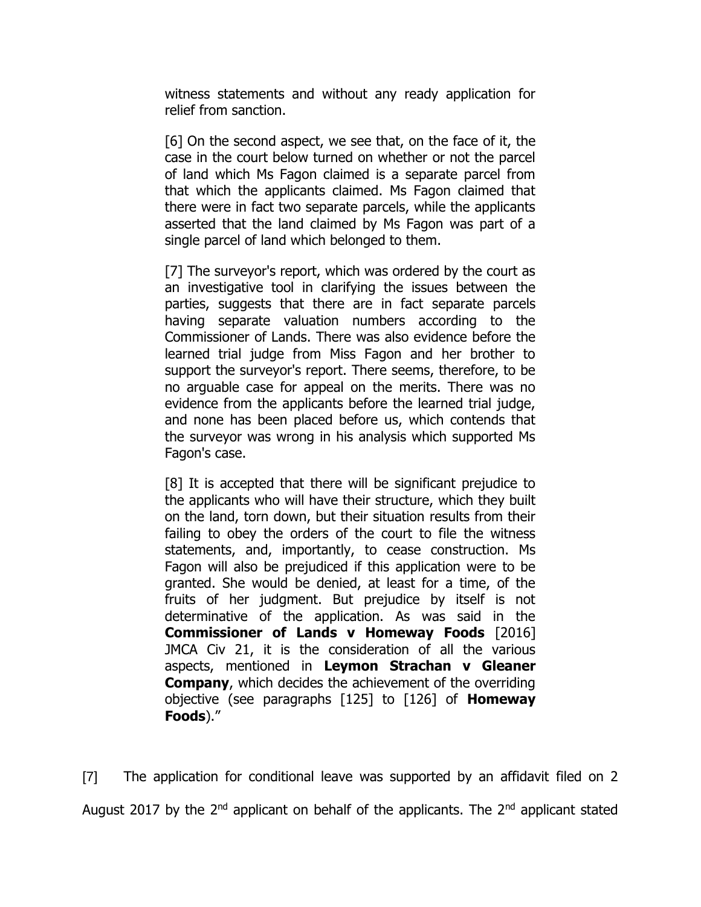witness statements and without any ready application for relief from sanction.

[6] On the second aspect, we see that, on the face of it, the case in the court below turned on whether or not the parcel of land which Ms Fagon claimed is a separate parcel from that which the applicants claimed. Ms Fagon claimed that there were in fact two separate parcels, while the applicants asserted that the land claimed by Ms Fagon was part of a single parcel of land which belonged to them.

[7] The surveyor's report, which was ordered by the court as an investigative tool in clarifying the issues between the parties, suggests that there are in fact separate parcels having separate valuation numbers according to the Commissioner of Lands. There was also evidence before the learned trial judge from Miss Fagon and her brother to support the surveyor's report. There seems, therefore, to be no arguable case for appeal on the merits. There was no evidence from the applicants before the learned trial judge, and none has been placed before us, which contends that the surveyor was wrong in his analysis which supported Ms Fagon's case.

[8] It is accepted that there will be significant prejudice to the applicants who will have their structure, which they built on the land, torn down, but their situation results from their failing to obey the orders of the court to file the witness statements, and, importantly, to cease construction. Ms Fagon will also be prejudiced if this application were to be granted. She would be denied, at least for a time, of the fruits of her judgment. But prejudice by itself is not determinative of the application. As was said in the **Commissioner of Lands v Homeway Foods** [2016] JMCA Civ 21, it is the consideration of all the various aspects, mentioned in **Leymon Strachan v Gleaner Company**, which decides the achievement of the overriding objective (see paragraphs [125] to [126] of **Homeway Foods**)."

[7] The application for conditional leave was supported by an affidavit filed on 2 August 2017 by the  $2^{nd}$  applicant on behalf of the applicants. The  $2^{nd}$  applicant stated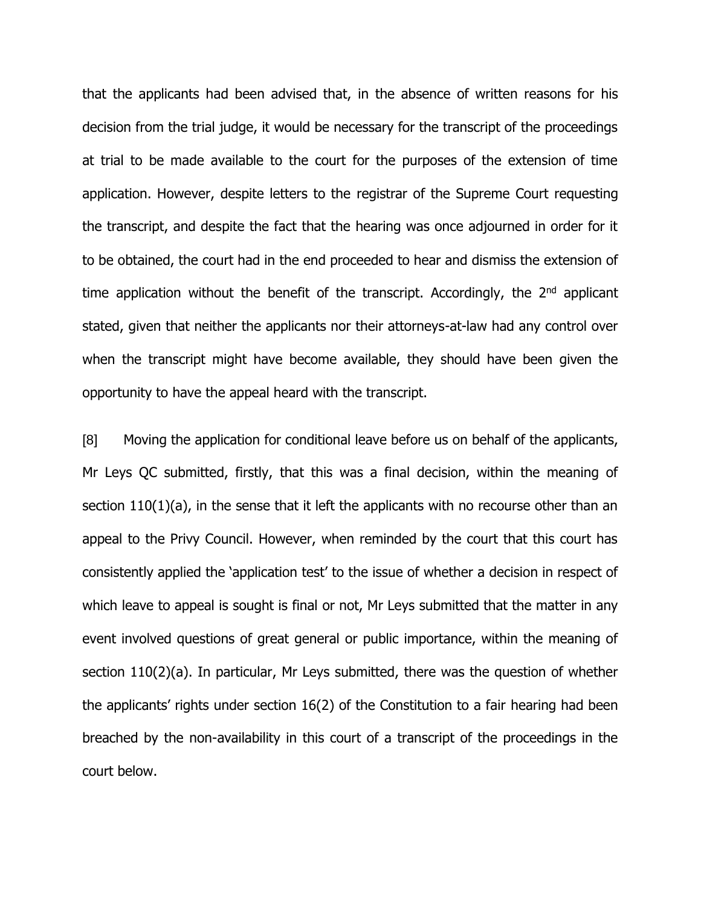that the applicants had been advised that, in the absence of written reasons for his decision from the trial judge, it would be necessary for the transcript of the proceedings at trial to be made available to the court for the purposes of the extension of time application. However, despite letters to the registrar of the Supreme Court requesting the transcript, and despite the fact that the hearing was once adjourned in order for it to be obtained, the court had in the end proceeded to hear and dismiss the extension of time application without the benefit of the transcript. Accordingly, the  $2<sup>nd</sup>$  applicant stated, given that neither the applicants nor their attorneys-at-law had any control over when the transcript might have become available, they should have been given the opportunity to have the appeal heard with the transcript.

[8] Moving the application for conditional leave before us on behalf of the applicants, Mr Leys QC submitted, firstly, that this was a final decision, within the meaning of section 110(1)(a), in the sense that it left the applicants with no recourse other than an appeal to the Privy Council. However, when reminded by the court that this court has consistently applied the 'application test' to the issue of whether a decision in respect of which leave to appeal is sought is final or not, Mr Leys submitted that the matter in any event involved questions of great general or public importance, within the meaning of section 110(2)(a). In particular, Mr Leys submitted, there was the question of whether the applicants' rights under section 16(2) of the Constitution to a fair hearing had been breached by the non-availability in this court of a transcript of the proceedings in the court below.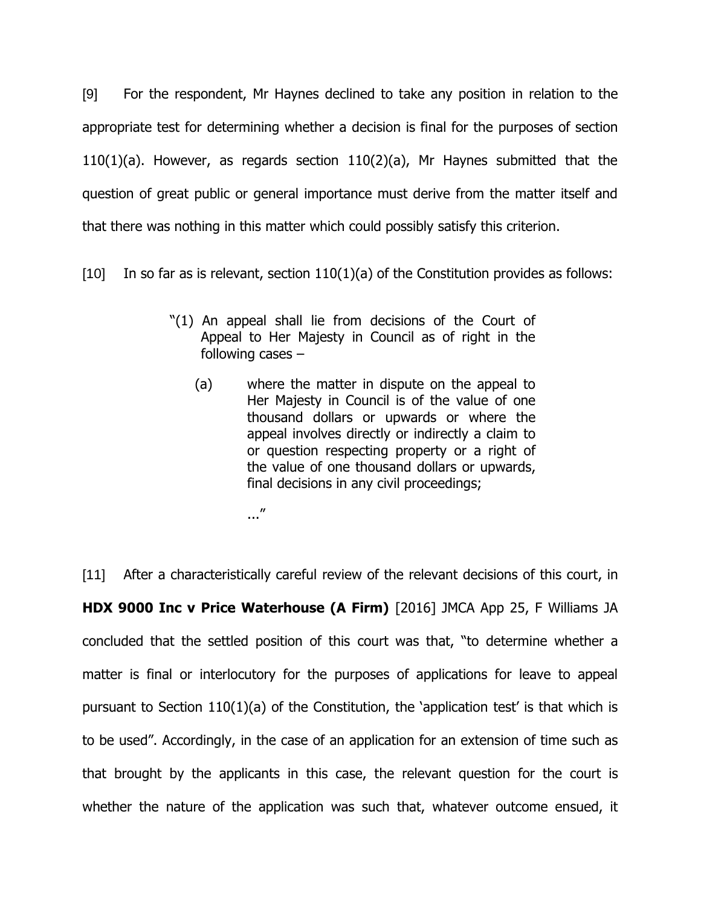[9] For the respondent, Mr Haynes declined to take any position in relation to the appropriate test for determining whether a decision is final for the purposes of section 110(1)(a). However, as regards section 110(2)(a), Mr Haynes submitted that the question of great public or general importance must derive from the matter itself and that there was nothing in this matter which could possibly satisfy this criterion.

 $[10]$  In so far as is relevant, section  $110(1)(a)$  of the Constitution provides as follows:

- "(1) An appeal shall lie from decisions of the Court of Appeal to Her Majesty in Council as of right in the following cases –
	- (a) where the matter in dispute on the appeal to Her Majesty in Council is of the value of one thousand dollars or upwards or where the appeal involves directly or indirectly a claim to or question respecting property or a right of the value of one thousand dollars or upwards, final decisions in any civil proceedings;

..."

[11] After a characteristically careful review of the relevant decisions of this court, in **HDX 9000 Inc v Price Waterhouse (A Firm)** [2016] JMCA App 25, F Williams JA concluded that the settled position of this court was that, "to determine whether a matter is final or interlocutory for the purposes of applications for leave to appeal pursuant to Section  $110(1)(a)$  of the Constitution, the 'application test' is that which is to be used". Accordingly, in the case of an application for an extension of time such as that brought by the applicants in this case, the relevant question for the court is whether the nature of the application was such that, whatever outcome ensued, it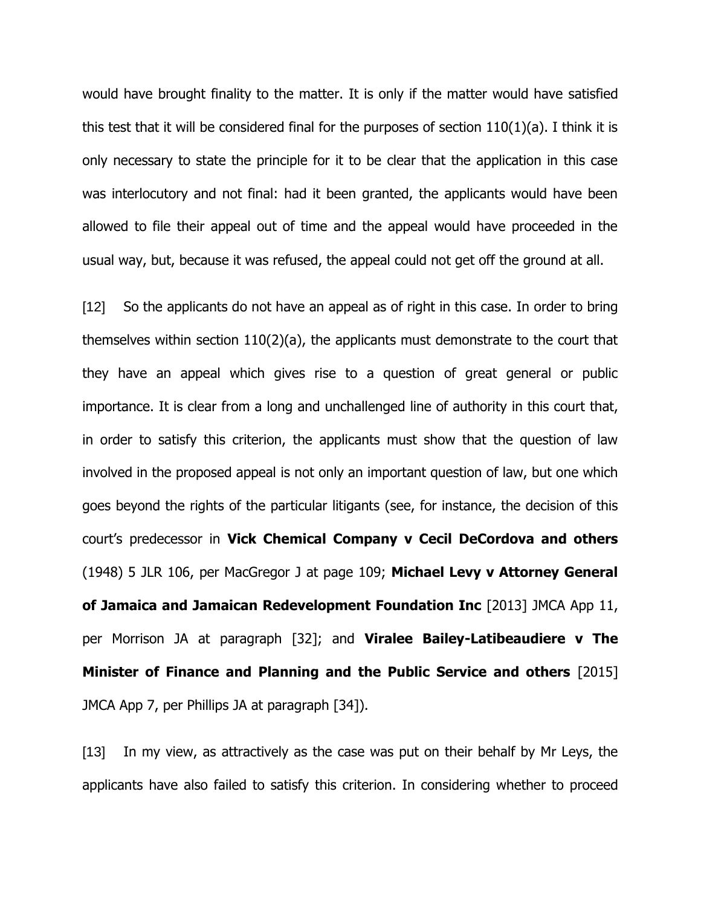would have brought finality to the matter. It is only if the matter would have satisfied this test that it will be considered final for the purposes of section 110(1)(a). I think it is only necessary to state the principle for it to be clear that the application in this case was interlocutory and not final: had it been granted, the applicants would have been allowed to file their appeal out of time and the appeal would have proceeded in the usual way, but, because it was refused, the appeal could not get off the ground at all.

[12] So the applicants do not have an appeal as of right in this case. In order to bring themselves within section 110(2)(a), the applicants must demonstrate to the court that they have an appeal which gives rise to a question of great general or public importance. It is clear from a long and unchallenged line of authority in this court that, in order to satisfy this criterion, the applicants must show that the question of law involved in the proposed appeal is not only an important question of law, but one which goes beyond the rights of the particular litigants (see, for instance, the decision of this court's predecessor in **Vick Chemical Company v Cecil DeCordova and others** (1948) 5 JLR 106, per MacGregor J at page 109; **Michael Levy v Attorney General of Jamaica and Jamaican Redevelopment Foundation Inc** [2013] JMCA App 11, per Morrison JA at paragraph [32]; and **Viralee Bailey-Latibeaudiere v The Minister of Finance and Planning and the Public Service and others** [2015] JMCA App 7, per Phillips JA at paragraph [34]).

[13] In my view, as attractively as the case was put on their behalf by Mr Leys, the applicants have also failed to satisfy this criterion. In considering whether to proceed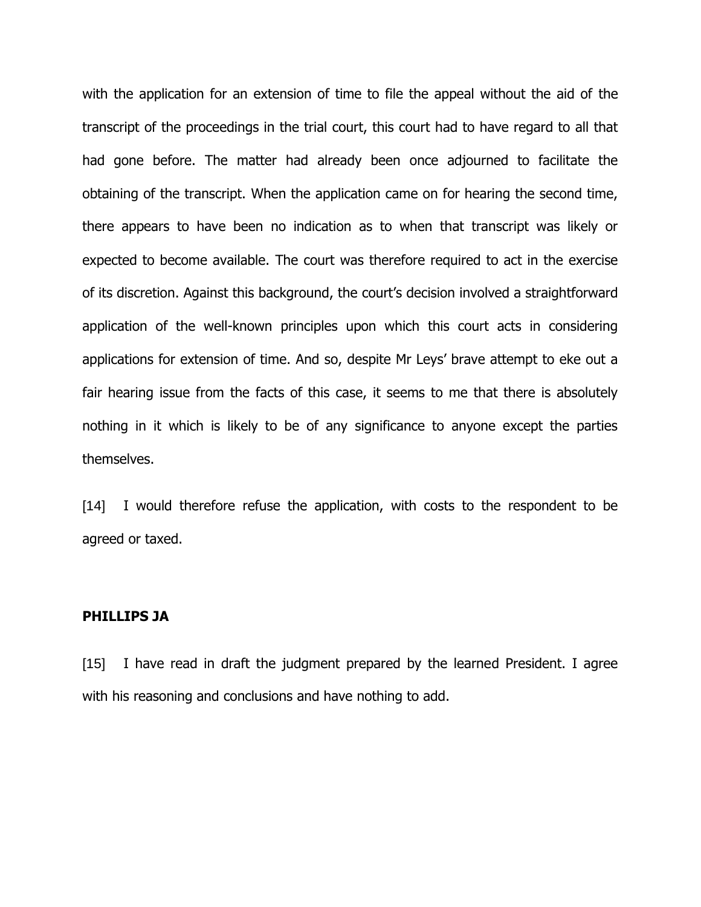with the application for an extension of time to file the appeal without the aid of the transcript of the proceedings in the trial court, this court had to have regard to all that had gone before. The matter had already been once adjourned to facilitate the obtaining of the transcript. When the application came on for hearing the second time, there appears to have been no indication as to when that transcript was likely or expected to become available. The court was therefore required to act in the exercise of its discretion. Against this background, the court's decision involved a straightforward application of the well-known principles upon which this court acts in considering applications for extension of time. And so, despite Mr Leys' brave attempt to eke out a fair hearing issue from the facts of this case, it seems to me that there is absolutely nothing in it which is likely to be of any significance to anyone except the parties themselves.

[14] I would therefore refuse the application, with costs to the respondent to be agreed or taxed.

#### **PHILLIPS JA**

[15] I have read in draft the judgment prepared by the learned President. I agree with his reasoning and conclusions and have nothing to add.